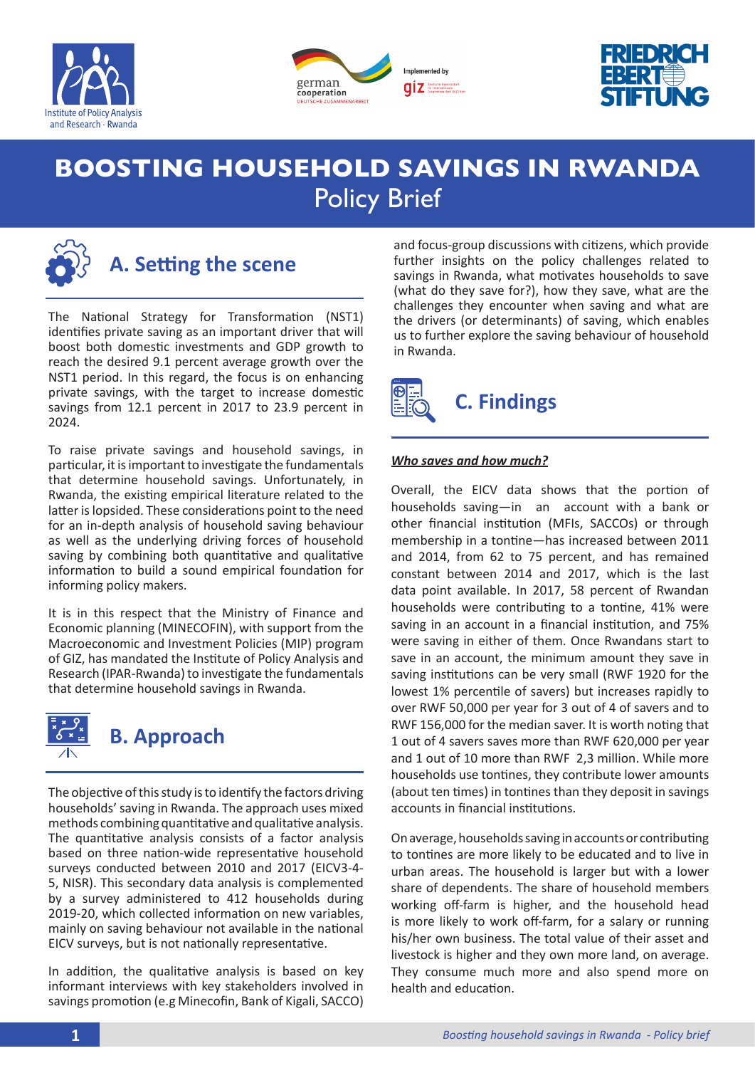





# **BOOSTING HOUSEHOLD SAVINGS IN RWANDA** Policy Brief



## **A. Setting the scene**

The National Strategy for Transformation (NST1) identifies private saving as an important driver that will boost both domestic investments and GDP growth to reach the desired 9.1 percent average growth over the NST1 period. In this regard, the focus is on enhancing private savings, with the target to increase domestic savings from 12.1 percent in 2017 to 23.9 percent in 2024.

To raise private savings and household savings, in particular, it is important to investigate the fundamentals that determine household savings. Unfortunately, in Rwanda, the existing empirical literature related to the latter is lopsided. These considerations point to the need for an in-depth analysis of household saving behaviour as well as the underlying driving forces of household saving by combining both quantitative and qualitative information to build a sound empirical foundation for informing policy makers.

It is in this respect that the Ministry of Finance and Economic planning (MINECOFIN), with support from the Macroeconomic and Investment Policies (MIP) program of GIZ, has mandated the Institute of Policy Analysis and Research (IPAR-Rwanda) to investigate the fundamentals that determine household savings in Rwanda.



The objective of this study is to identify the factors driving households' saving in Rwanda. The approach uses mixed methods combining quantitative and qualitative analysis. The quantitative analysis consists of a factor analysis based on three nation-wide representative household surveys conducted between 2010 and 2017 (EICV3-4- 5, NISR). This secondary data analysis is complemented by a survey administered to 412 households during 2019-20, which collected information on new variables, mainly on saving behaviour not available in the national EICV surveys, but is not nationally representative.

In addition, the qualitative analysis is based on key informant interviews with key stakeholders involved in savings promotion (e.g Minecofin, Bank of Kigali, SACCO) and focus-group discussions with citizens, which provide further insights on the policy challenges related to savings in Rwanda, what motivates households to save (what do they save for?), how they save, what are the challenges they encounter when saving and what are the drivers (or determinants) of saving, which enables us to further explore the saving behaviour of household in Rwanda.



## *Who saves and how much?*

Overall, the EICV data shows that the portion of households saving—in an account with a bank or other financial institution (MFIs, SACCOs) or through membership in a tontine—has increased between 2011 and 2014, from 62 to 75 percent, and has remained constant between 2014 and 2017, which is the last data point available. In 2017, 58 percent of Rwandan households were contributing to a tontine, 41% were saving in an account in a financial institution, and 75% were saving in either of them. Once Rwandans start to save in an account, the minimum amount they save in saving institutions can be very small (RWF 1920 for the lowest 1% percentile of savers) but increases rapidly to over RWF 50,000 per year for 3 out of 4 of savers and to RWF 156,000 for the median saver. It is worth noting that 1 out of 4 savers saves more than RWF 620,000 per year and 1 out of 10 more than RWF 2,3 million. While more households use tontines, they contribute lower amounts (about ten times) in tontines than they deposit in savings accounts in financial institutions.

On average, households saving in accounts or contributing to tontines are more likely to be educated and to live in urban areas. The household is larger but with a lower share of dependents. The share of household members working off-farm is higher, and the household head is more likely to work off-farm, for a salary or running his/her own business. The total value of their asset and livestock is higher and they own more land, on average. They consume much more and also spend more on health and education.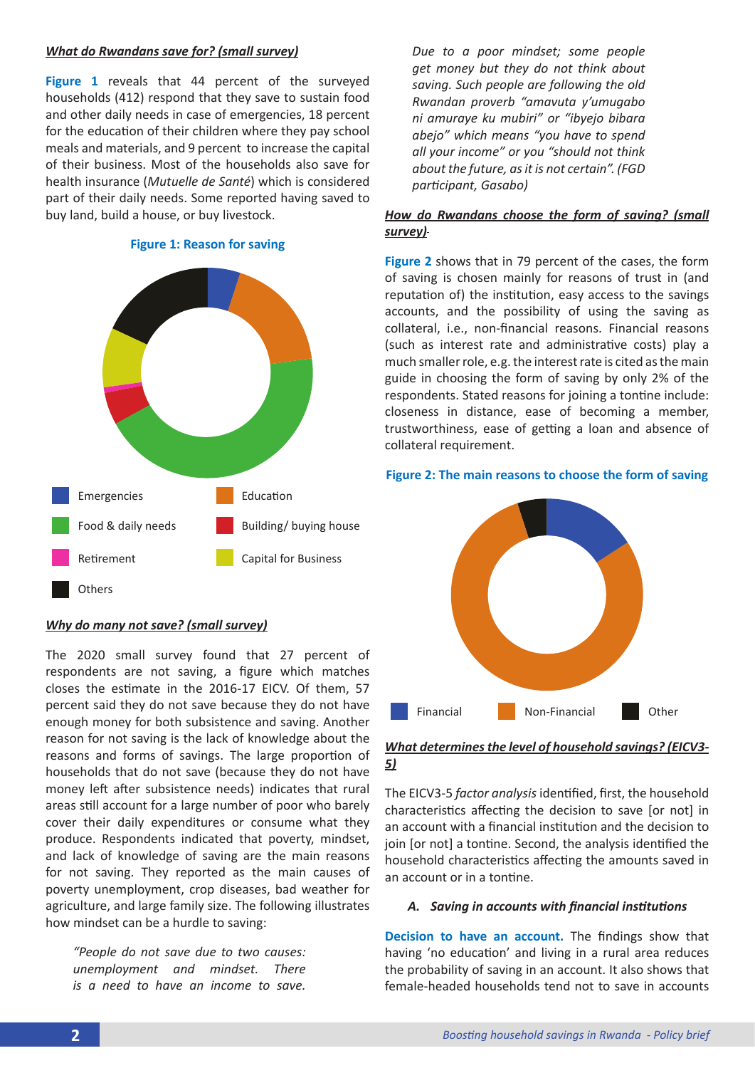#### *What do Rwandans save for? (small survey)*

**Figure 1** reveals that 44 percent of the surveyed households (412) respond that they save to sustain food and other daily needs in case of emergencies, 18 percent for the education of their children where they pay school meals and materials, and 9 percent to increase the capital of their business. Most of the households also save for health insurance (*Mutuelle de Santé*) which is considered part of their daily needs. Some reported having saved to buy land, build a house, or buy livestock.

#### **Figure 1: Reason for saving**



#### *Why do many not save? (small survey)*

The 2020 small survey found that 27 percent of respondents are not saving, a figure which matches closes the estimate in the 2016-17 EICV. Of them, 57 percent said they do not save because they do not have enough money for both subsistence and saving. Another reason for not saving is the lack of knowledge about the reasons and forms of savings. The large proportion of households that do not save (because they do not have money left after subsistence needs) indicates that rural areas still account for a large number of poor who barely cover their daily expenditures or consume what they produce. Respondents indicated that poverty, mindset, and lack of knowledge of saving are the main reasons for not saving. They reported as the main causes of poverty unemployment, crop diseases, bad weather for agriculture, and large family size. The following illustrates how mindset can be a hurdle to saving:

*"People do not save due to two causes: unemployment and mindset. There is a need to have an income to save.* 

*Due to a poor mindset; some people get money but they do not think about saving. Such people are following the old Rwandan proverb "amavuta y'umugabo ni amuraye ku mubiri" or "ibyejo bibara abejo" which means "you have to spend all your income" or you "should not think about the future, as it is not certain". (FGD participant, Gasabo)*

### *How do Rwandans choose the form of saving? (small survey)*

**Figure 2** shows that in 79 percent of the cases, the form of saving is chosen mainly for reasons of trust in (and reputation of) the institution, easy access to the savings accounts, and the possibility of using the saving as collateral, i.e., non-financial reasons. Financial reasons (such as interest rate and administrative costs) play a much smaller role, e.g. the interest rate is cited as the main guide in choosing the form of saving by only 2% of the respondents. Stated reasons for joining a tontine include: closeness in distance, ease of becoming a member, trustworthiness, ease of getting a loan and absence of collateral requirement.

#### **Figure 2: The main reasons to choose the form of saving**



## *What determines the level of household savings? (EICV3- 5)*

The EICV3-5 *factor analysis* identified, first, the household characteristics affecting the decision to save [or not] in an account with a financial institution and the decision to join [or not] a tontine. Second, the analysis identified the household characteristics affecting the amounts saved in an account or in a tontine.

#### *A. Saving in accounts with financial institutions*

**Decision to have an account.** The findings show that having 'no education' and living in a rural area reduces the probability of saving in an account. It also shows that female-headed households tend not to save in accounts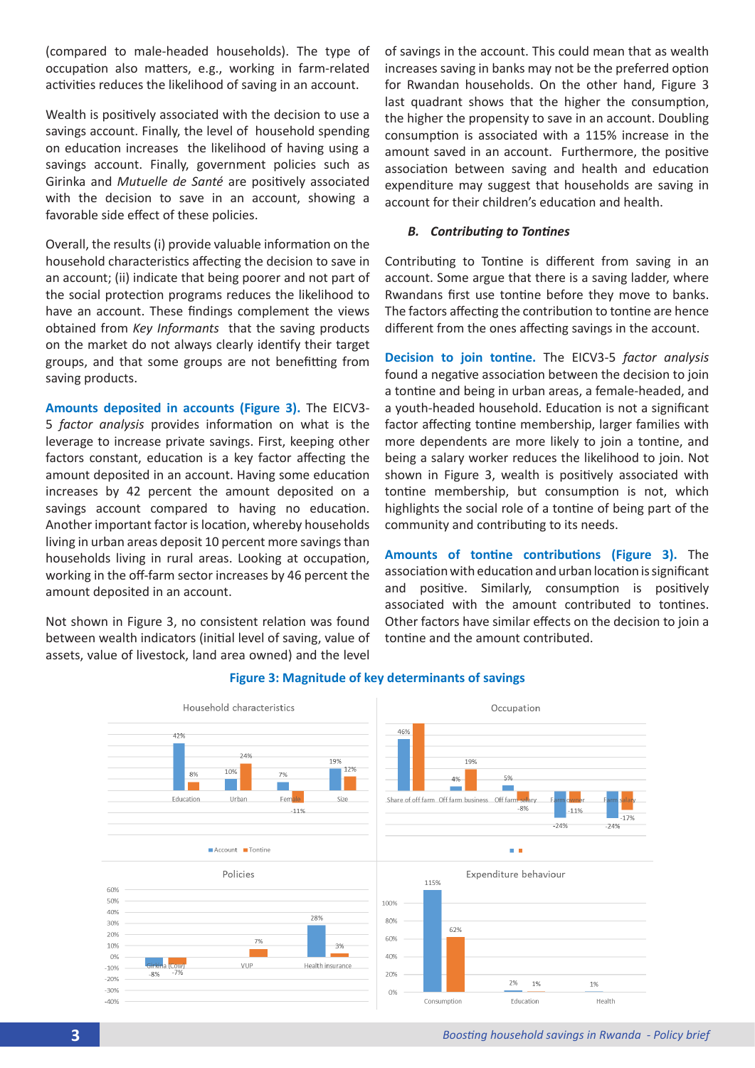(compared to male-headed households). The type of occupation also matters, e.g., working in farm-related activities reduces the likelihood of saving in an account.

Wealth is positively associated with the decision to use a savings account. Finally, the level of household spending on education increases the likelihood of having using a savings account. Finally, government policies such as Girinka and *Mutuelle de Santé* are positively associated with the decision to save in an account, showing a favorable side effect of these policies.

Overall, the results (i) provide valuable information on the household characteristics affecting the decision to save in an account; (ii) indicate that being poorer and not part of the social protection programs reduces the likelihood to have an account. These findings complement the views obtained from *Key Informants* that the saving products on the market do not always clearly identify their target groups, and that some groups are not benefitting from saving products.

**Amounts deposited in accounts (Figure 3).** The EICV3- 5 *factor analysis* provides information on what is the leverage to increase private savings. First, keeping other factors constant, education is a key factor affecting the amount deposited in an account. Having some education increases by 42 percent the amount deposited on a savings account compared to having no education. Another important factor is location, whereby households living in urban areas deposit 10 percent more savings than households living in rural areas. Looking at occupation, working in the off-farm sector increases by 46 percent the amount deposited in an account.

Not shown in Figure 3, no consistent relation was found between wealth indicators (initial level of saving, value of assets, value of livestock, land area owned) and the level of savings in the account. This could mean that as wealth increases saving in banks may not be the preferred option for Rwandan households. On the other hand, Figure 3 last quadrant shows that the higher the consumption, the higher the propensity to save in an account. Doubling consumption is associated with a 115% increase in the amount saved in an account. Furthermore, the positive association between saving and health and education expenditure may suggest that households are saving in account for their children's education and health.

### *B. Contributing to Tontines*

Contributing to Tontine is different from saving in an account. Some argue that there is a saving ladder, where Rwandans first use tontine before they move to banks. The factors affecting the contribution to tontine are hence different from the ones affecting savings in the account.

**Decision to join tontine.** The EICV3-5 *factor analysis*  found a negative association between the decision to join a tontine and being in urban areas, a female-headed, and a youth-headed household. Education is not a significant factor affecting tontine membership, larger families with more dependents are more likely to join a tontine, and being a salary worker reduces the likelihood to join. Not shown in Figure 3, wealth is positively associated with tontine membership, but consumption is not, which highlights the social role of a tontine of being part of the community and contributing to its needs.

**Amounts of tontine contributions (Figure 3).** The association with education and urban location is significant and positive. Similarly, consumption is positively associated with the amount contributed to tontines. Other factors have similar effects on the decision to join a tontine and the amount contributed.



## **Figure 3: Magnitude of key determinants of savings**